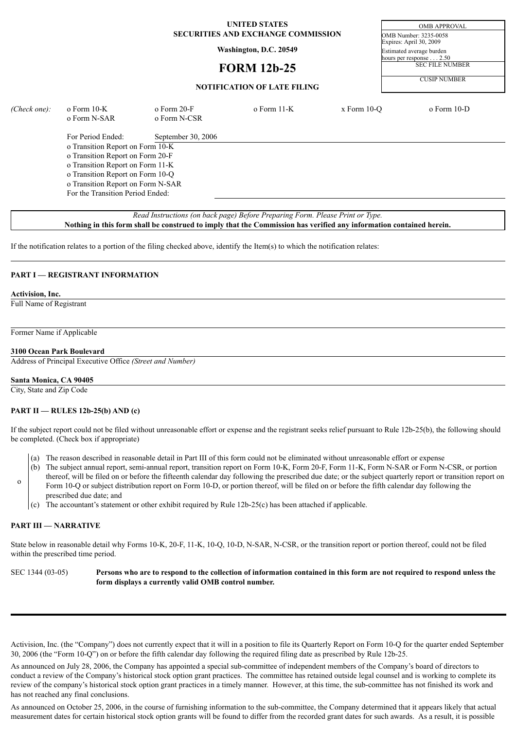### **UNITED STATES** OMB APPROVAL **SECURITIES AND EXCHANGE COMMISSION** OMB Number: 3235-0058

# **FORM 12b-25**

Expires: April 30, 2009 **Washington, D.C. 20549**<br>
Estimated average burden<br>
hours per response<br>
2.50 hours per response SEC FILE NUMBER

CUSIP NUMBER

| (Check one): | o Form 10-K<br>o Form N-SAR       | $\alpha$ Form 20-F<br>o Form N-CSR | $\sigma$ Form 11-K | $x$ Form 10-O | $o$ Form 10-D |
|--------------|-----------------------------------|------------------------------------|--------------------|---------------|---------------|
|              | For Period Ended:                 | September 30, 2006                 |                    |               |               |
|              | o Transition Report on Form 10-K  |                                    |                    |               |               |
|              | o Transition Report on Form 20-F  |                                    |                    |               |               |
|              | o Transition Report on Form 11-K  |                                    |                    |               |               |
|              | o Transition Report on Form 10-Q  |                                    |                    |               |               |
|              | o Transition Report on Form N-SAR |                                    |                    |               |               |
|              | For the Transition Period Ended:  |                                    |                    |               |               |
|              |                                   |                                    |                    |               |               |

*Read Instructions (on back page) Before Preparing Form. Please Print or Type.* Nothing in this form shall be construed to imply that the Commission has verified any information contained herein.

If the notification relates to a portion of the filing checked above, identify the Item(s) to which the notification relates:

## **PART I — REGISTRANT INFORMATION**

## **Activision, Inc.**

Full Name of Registrant

Former Name if Applicable

#### **3100 Ocean Park Boulevard**

Address of Principal Executive Office *(Street and Number)*

#### **Santa Monica, CA 90405**

City, State and Zip Code

#### **PART II — RULES 12b-25(b) AND (c)**

prescribed due date; and

If the subject report could not be filed without unreasonable effort or expense and the registrant seeks relief pursuant to Rule 12b-25(b), the following should be completed. (Check box if appropriate)

- (a) The reason described in reasonable detail in Part III of this form could not be eliminated without unreasonable effort or expense
- (b) The subject annual report, semi-annual report, transition report on Form 10-K, Form 20-F, Form 11-K, Form N-SAR or Form N-CSR, or portion thereof, will be filed on or before the fifteenth calendar day following the prescribed due date; or the subject quarterly report or transition report on Form 10-Q or subject distribution report on Form 10-D, or portion thereof, will be filed on or before the fifth calendar day following the
- (c) The accountant's statement or other exhibit required by Rule 12b-25(c) has been attached if applicable.

## **PART III — NARRATIVE**

o

State below in reasonable detail why Forms 10-K, 20-F, 11-K, 10-Q, 10-D, N-SAR, N-CSR, or the transition report or portion thereof, could not be filed within the prescribed time period.

SEC 1344 (03-05) Persons who are to respond to the collection of information contained in this form are not required to respond unless the **form displays a currently valid OMB control number.**

Activision, Inc. (the "Company") does not currently expect that it will in a position to file its Quarterly Report on Form 10-Q for the quarter ended September 30, 2006 (the "Form 10-Q") on or before the fifth calendar day following the required filing date as prescribed by Rule 12b-25.

As announced on July 28, 2006, the Company has appointed a special sub-committee of independent members of the Company's board of directors to conduct a review of the Company's historical stock option grant practices. The committee has retained outside legal counsel and is working to complete its review of the company's historical stock option grant practices in a timely manner. However, at this time, the sub-committee has not finished its work and has not reached any final conclusions.

As announced on October 25, 2006, in the course of furnishing information to the sub-committee, the Company determined that it appears likely that actual measurement dates for certain historical stock option grants will be found to differ from the recorded grant dates for such awards. As a result, it is possible